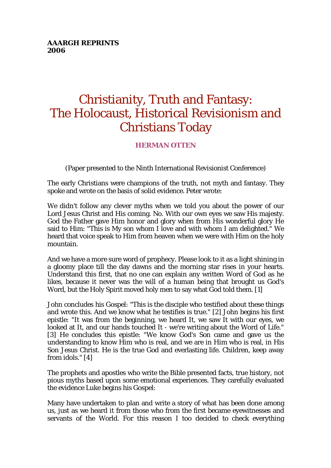# Christianity, Truth and Fantasy: The Holocaust, Historical Revisionism and Christians Today

# **HERMAN OTTEN**

(Paper presented to the Ninth International Revisionist Conference)

The early Christians were champions of the truth, not myth and fantasy. They spoke and wrote on the basis of solid evidence. Peter wrote:

We didn't follow any clever myths when we told you about the power of our Lord Jesus Christ and His coming. No. With our own eyes we saw His majesty. God the Father gave Him honor and glory when from His wonderful glory He said to Him: "This is My son whom I love and with whom I am delighted." We heard that voice speak to Him from heaven when we were with Him on the holy mountain.

And we have a more sure word of prophecy. Please look to it as a light shining in a gloomy place till the day dawns and the morning star rises in your hearts. Understand this first, that no one can explain any written Word of God as he likes, because it never was the will of a human being that brought us God's Word, but the Holy Spirit moved holy men to say what God told them. [1]

John concludes his Gospel: "This is the disciple who testified about these things and wrote this. And we know what he testifies is true." [2] John begins his first epistle: "It was from the beginning, we heard It, we saw It with our eyes, we looked at It, and our hands touched It - we're writing about the Word of Life." [3] He concludes this epistle: "We know God's Son came and gave us the understanding to know Him who is real, and we are in Him who is real, in His Son Jesus Christ. He is the true God and everlasting life. Children, keep away from idols." [4]

The prophets and apostles who write the Bible presented facts, true history, not pious myths based upon some emotional experiences. They carefully evaluated the evidence Luke begins his Gospel:

Many have undertaken to plan and write a story of what has been done among us, just as we heard it from those who from the first became eyewitnesses and servants of the World. For this reason I too decided to check everything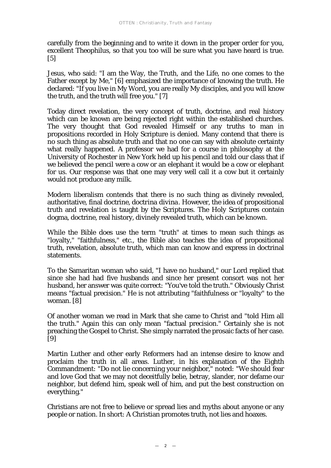carefully from the beginning and to write it down in the proper order for you, excellent Theophilus, so that you too will be sure what you have heard is true. [5]

Jesus, who said: "I am the Way, the Truth, and the Life, no one comes to the Father except by Me," [6] emphasized the importance of knowing the truth. He declared: "If you live in My Word, you are really My disciples, and you will know the truth, and the truth will free you." [7]

Today direct revelation, the very concept of truth, doctrine, and real history which can be known are being rejected right within the established churches. The very thought that God revealed Himself or any truths to man in propositions recorded in Holy Scripture is denied. Many contend that there is no such thing as absolute truth and that no one can say with absolute certainty what really happened. A professor we had for a course in philosophy at the University of Rochester in New York held up his pencil and told our class that if we believed the pencil were a cow or an elephant it would be a cow or elephant for us. Our response was that one may very well call it a cow but it certainly would not produce any milk.

Modern liberalism contends that there is no such thing as divinely revealed, authoritative, final doctrine, *doctrina divina*. However, the idea of propositional truth and revelation is taught by the Scriptures. The Holy Scriptures contain dogma, doctrine, real history, divinely revealed truth, which can be known.

While the Bible does use the term "truth" at times to mean such things as "loyalty," "faithfulness," etc., the Bible also teaches the idea of propositional truth, revelation, absolute truth, which man can know and express in doctrinal statements.

To the Samaritan woman who said, "I have no husband," our Lord replied that since she had had five husbands and since her present consort was not her husband, her answer was quite correct: "You've told the truth." Obviously Christ means "factual precision." He is not attributing "faithfulness or "loyalty" to the woman. [8]

Of another woman we read in Mark that she came to Christ and "told Him all the truth." Again this can only mean "factual precision." Certainly she is not preaching the Gospel to Christ. She simply narrated the prosaic facts of her case. [9]

Martin Luther and other early Reformers had an intense desire to know and proclaim the truth in all areas. Luther, in his explanation of the Eighth Commandment: "Do not lie concerning your neighbor," noted: "We should fear and love God that we may not deceitfully belie, betray, slander, nor defame our neighbor, but defend him, speak well of him, and put the best construction on everything."

Christians are not free to believe or spread lies and myths about anyone or any people or nation. In short: A Christian promotes truth, not lies and hoaxes.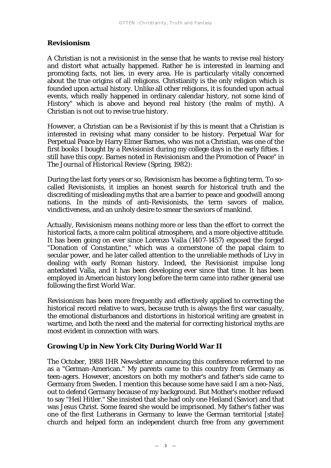## **Revisionism**

A Christian is not a revisionist in the sense that he wants to revise real history and distort what actually happened. Rather he is interested in learning and promoting facts, not lies, in every area. He is particularly vitally concerned about the true origins of all religions. Christianity is the only religion which is founded upon actual history. Unlike all other religions, it is founded upon actual events, which really happened in ordinary calendar history, not some kind of History" which is above and beyond real history (the realm of myth). A Christian is not out to revise true history.

However, a Christian can be a Revisionist if by this is meant that a Christian is interested in revising what many consider to be history. Perpetual War for Perpetual Peace by Harry Elmer Barnes, who was not a Christian, was one of the first books I bought by a Revisionist during my college days in the early fifties. I still have this copy. Barnes noted in Revisionism and the Promotion of Peace" in *The Journal of Historical Review* (Spring, 1982):

During the last forty years or so, Revisionism has become a fighting term. To socalled Revisionists, it implies an honest search for historical truth and the discrediting of misleading myths that are a barrier to peace and goodwill among nations. In the minds of anti-Revisionists, the term savors of malice, vindictiveness, and an unholy desire to smear the saviors of mankind.

Actually, Revisionism means nothing more or less than the effort to correct the historical facts, a more calm political atmosphere, and a more objective attitude. It has been going on ever since Lorenzo Valla (1407-1457) exposed the forged "Donation of Constantine," which was a cornerstone of the papal claim to secular power, and he later called attention to the unreliable methods of Livy in dealing with early Roman history. Indeed, the Revisionist impulse long antedated Valla, and it has been developing ever since that time. It has been employed in American history long before the term came into rather general use following the first World War.

Revisionism has been more frequently and effectively applied to correcting the historical record relative to wars, because truth is always the first war casualty, the emotional disturbances and distortions in historical writing are greatest in wartime, and both the need and the material for correcting historical myths are most evident in connection with wars.

## **Growing Up in New York City During World War II**

The October, 1988 IHR *Newsletter* announcing this conference referred to me as a "German-American." My parents came to this country from Germany as teen-agers. However, ancestors on both my mother's and father's side came to Germany from Sweden. I mention this because some have said I am a neo-Nazi, out to defend Germany because of my background. But Mother's mother refused to say "Heil Hitler." She insisted that she had only one Heiland (Savior) and that was Jesus Christ. Some feared she would be imprisoned. My father's father was one of the first Lutherans in Germany to leave the German territorial [state] church and helped form an independent church free from any government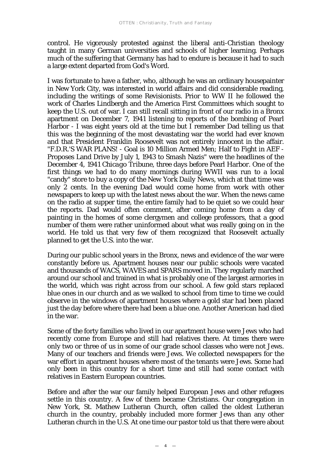control. He vigorously protested against the liberal anti-Christian theology taught in many German universities and schools of higher learning. Perhaps much of the suffering that Germany has had to endure is because it had to such a large extent departed from God's Word.

I was fortunate to have a father, who, although he was an ordinary housepainter in New York City, was interested in world affairs and did considerable reading, including the writings of some Revisionists. Prior to WW II he followed the work of Charles Lindbergh and the America First Committees which sought to keep the U.S. out of war. I can still recall sitting in front of our radio in a Bronx apartment on December 7, 1941 listening to reports of the bombing of Pearl Harbor - I was eight years old at the time but I remember Dad telling us that this was the beginning of the most devastating war the world had ever known and that President Franklin Roosevelt was not entirely innocent in the affair. "F.D.R.'S WAR PLANS! - Goal is 10 Million Armed Men; Half to Fight in AEF - Proposes Land Drive by July 1, 1943 to Smash Nazis" were the headlines of the December 4, 1941 *Chicago Tribune*, three days before Pearl Harbor. One of the first things we had to do many mornings during WWII was run to a local "candy" store to buy a copy of the *New York Daily News*, which at that time was only 2 cents. In the evening Dad would come home from work with other newspapers to keep up with the latest news about the war. When the news came on the radio at supper time, the entire family had to be quiet so we could hear the reports. Dad would often comment, after coming home from a day of painting in the homes of some clergymen and college professors, that a good number of them were rather uninformed about what was really going on in the world. He told us that very few of them recognized that Roosevelt actually planned to get the U.S. into the war.

During our public school years in the Bronx, news and evidence of the war were constantly before us. Apartment houses near our public schools were vacated and thousands of WACS, WAVES and SPARS moved in. They regularly marched around our school and trained in what is probably one of the largest armories in the world, which was right across from our school. A few gold stars replaced blue ones in our church and as we walked to school from time to time we could observe in the windows of apartment houses where a gold star had been placed just the day before where there had been a blue one. Another American had died in the war.

Some of the forty families who lived in our apartment house were Jews who had recently come from Europe and still had relatives there. At times there were only two or three of us in some of our grade school classes who were not Jews. Many of our teachers and friends were Jews. We collected newspapers for the war effort in apartment houses where most of the tenants were Jews. Some had only been in this country for a short time and still had some contact with relatives in Eastern European countries.

Before and after the war our family helped European Jews and other refugees settle in this country. A few of them became Christians. Our congregation in New York, St. Mathew Lutheran Church, often called the oldest Lutheran church in the country, probably included more former Jews than any other Lutheran church in the U.S. At one time our pastor told us that there were about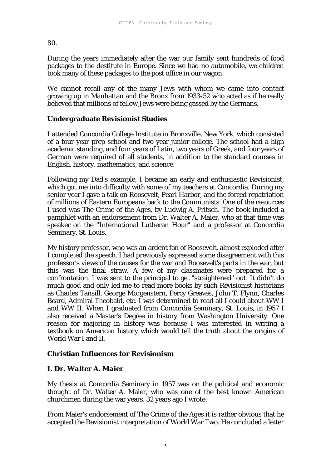80.

During the years immediately after the war our family sent hundreds of food packages to the destitute in Europe. Since we had no automobile, we children took many of these packages to the post office in our wagon.

We cannot recall any of the many Jews with whom we came into contact growing up in Manhattan and the Bronx from 1933-52 who acted as if he really believed that millions of fellow Jews were being gassed by the Germans.

#### **Undergraduate Revisionist Studies**

I attended Concordia College Institute in Bronxville, New York, which consisted of a four-year prep school and two-year junior college. The school had a high academic standing, and four years of Latin, two years of Greek, and four years of German were required of all students, in addition to the standard courses in English, history. mathematics, and science.

Following my Dad's example, I became an early and enthusiastic Revisionist, which got me into difficulty with some of my teachers at Concordia. During my senior year I gave a talk on Roosevelt, Pearl Harbor, and the forced repatriation of millions of Eastern Europeans back to the Communists. One of the resources I used was *The Crime of the Ages*, by Ludwig A. Fritsch. The book included a pamphlet with an endorsement from Dr. Walter A. Maier, who at that time was speaker on the "International Lutheran Hour" and a professor at Concordia Seminary, St. Louis.

My history professor, who was an ardent fan of Roosevelt, almost exploded after I completed the speech. I had previously expressed some disagreement with this professor's views of the causes for the war and Roosevelt's parts in the war, but this was the final straw. A few of my classmates were prepared for a confrontation. I was sent to the principal to get "straightened" out. It didn't do much good and only led me to read more books by such Revisionist historians as Charles Tansill, George Morgenstern, Percy Greaves, John T. Flynn, Charles Beard, Admiral Theobald, etc. I was determined to read all I could about WW I and WW II. When I graduated from Concordia Seminary, St. Louis, in 1957 I also received a Master's Degree in history from Washington University. One reason for majoring in history was because I was interested in writing a textbook on American history which would tell the truth about the origins of World War I and II.

#### **Christian Influences for Revisionism**

## *I. Dr. Walter A. Maier*

My thesis at Concordia Seminary in 1957 was on the political and economic thought of Dr. Walter A. Maier, who was one of the best known American churchmen during the war years. 32 years ago I wrote:

From Maier's endorsement of *The Crime of the Ages* it is rather obvious that he accepted the Revisionist interpretation of World War Two. He concluded a letter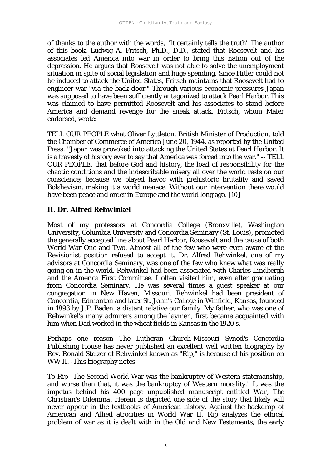of thanks to the author with the words, "It certainly tells the truth" The author of this book, Ludwig A. Fritsch, Ph.D., D.D., stated that Roosevelt and his associates led America into war in order to bring this nation out of the depression. He argues that Roosevelt was not able to solve the unemployment situation in spite of social legislation and huge spending. Since Hitler could not be induced to attack the United States, Fritsch maintains that Roosevelt had to engineer war "via the back door." Through various economic pressures Japan was supposed to have been sufficiently antagonized to attack Pearl Harbor. This was claimed to have permitted Roosevelt and his associates to stand before America and demand revenge for the sneak attack. Fritsch, whom Maier endorsed, wrote:

TELL OUR PEOPLE what Oliver Lyttleton, British Minister of Production, told the Chamber of Commerce of America June 20, 1944, as reported by the United Press: "Japan was provoked into attacking the United States at Pearl Harbor. It is a travesty of history ever to say that America was forced into the war." -- TELL OUR PEOPLE, that before God and history, the load of responsibility for the chaotic conditions and the indescribable misery all over the world rests on our conscience; because we played havoc with prehistoric brutality and saved Bolshevism, making it a world menace. Without our intervention there would have been peace and order in Europe and the world long ago. [10]

#### *II. Dr. Alfred Rehwinkel*

Most of my professors at Concordia College (Bronxville), Washington University, Columbia University and Concordia Seminary (St. Louis), promoted the generally accepted line about Pearl Harbor, Roosevelt and the cause of both World War One and Two. Almost all of the few who were even aware of the Revisionist position refused to accept it. Dr. Alfred Rehwinkel, one of my advisors at Concordia Seminary, was one of the few who knew what was really going on in the world. Rehwinkel had been associated with Charles Lindbergh and the America First Committee. I often visited him, even after graduating from Concordia Seminary. He was several times a guest speaker at our congregation in New Haven, Missouri. Rehwinkel had been president of Concordia, Edmonton and later St. John's College in Winfield, Kansas, founded in 1893 by J.P. Baden, a distant relative our family. My father, who was one of Rehwinkel's many admirers among the laymen, first became acquainted with him when Dad worked in the wheat fields in Kansas in the 1920's.

Perhaps one reason The Lutheran Church-Missouri Synod's Concordia Publishing House has never published an excellent well written biography by Rev. Ronald Stelzer of Rehwinkel known as "Rip," is because of his position on WW II. - This biography notes:

To Rip "The Second World War was the bankruptcy of Western statemanship, and worse than that, it was the bankruptcy of Western morality." It was the impetus behind his 400 page unpublished manuscript entitled *War, The Christian's Dilemma*. Herein is depicted one side of the story that likely will never appear in the textbooks of American history. Against the backdrop of American and Allied atrocities in World War II, Rip analyzes the ethical problem of war as it is dealt with in the Old and New Testaments, the early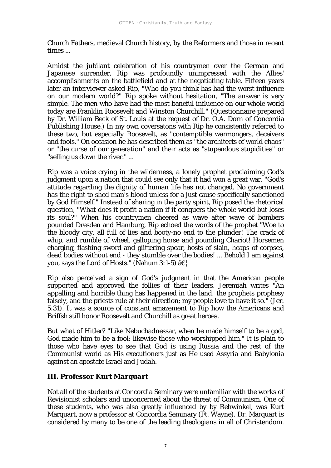Church Fathers, medieval Church history, by the Reformers and those in recent times ...

Amidst the jubilant celebration of his countrymen over the German and Japanese surrender, Rip was profoundly unimpressed with the Allies' accomplishments on the battlefield and at the negotiating table. Fifteen years later an interviewer asked Rip, "Who do you think has had the worst influence on our modern world?" Rip spoke without hesitation, "The answer is very simple. The men who have had the most baneful influence on our whole world today are Franklin Roosevelt and Winston Churchill." (Questionnaire prepared by Dr. William Beck of St. Louis at the request of Dr. O.A. Dorn of Concordia Publishing House.) In my own coversatons with Rip he consistently referred to these two, but especially Roosevelt, as "contemptible warmongers, deceivers and fools." On occasion he has described them as "the architects of world chaos" or "the curse of our generation" and their acts as "stupendous stupidities" or "selling us down the river." ...

Rip was a voice crying in the wilderness, a lonely prophet proclaiming God's judgment upon a nation that could see only that it had won a great war. "God's attitude regarding the dignity of human life has not changed. No government has the right to shed man's blood unless for a just cause specifically sanctioned by God Himself." Instead of sharing in the party spirit, Rip posed the rhetorical question, "What does it profit a nation if it conquers the whole world but loses its soul?" When his countrymen cheered as wave after wave of bombers pounded Dresden and Hamburg, Rip echoed the words of the prophet "Woe to the bloody city, all full of lies and booty-no end to the plunder! The crack of whip, and rumble of wheel, galloping horse and pounding Chariot! Horsemen charging, flashing sword and glittering spear, hosts of slain, heaps of corpses, dead bodies without end - they stumble over the bodies! ... Behold I am against you, says the Lord of Hosts." (Nahum 3:1-5)  $\hat{a}C_1$ 

Rip also perceived a sign of God's judgment in that the American people supported and approved the follies of their leaders. Jeremiah writes "An appalling and horrible thing has happened in the land: the prophets prophesy falsely, and the priests rule at their direction; my people love to have it so." (Jer. 5:31). It was a source of constant amazement to Rip how the Americans and Briffsh still honor Roosevelt and Churchill as great heroes.

But what of Hitler? "Like Nebuchadnessar, when he made himself to be a god, God made him to be a fool; likewise those who worshipped him." It is plain to those who have eyes to see that God is using Russia and the rest of the Communist world as His executioners just as He used Assyria and Babylonia against an apostate Israel and Judah.

## *III. Professor Kurt Marquart*

Not all of the students at Concordia Seminary were unfamiliar with the works of Revisionist scholars and unconcerned about the threat of Communism. One of these students, who was also greatly influenced by by Rehwinkel, was Kurt Marquart, now a professor at Concordia Seminary (Ft. Wayne). Dr. Marquart is considered by many to be one of the leading theologians in all of Christendom.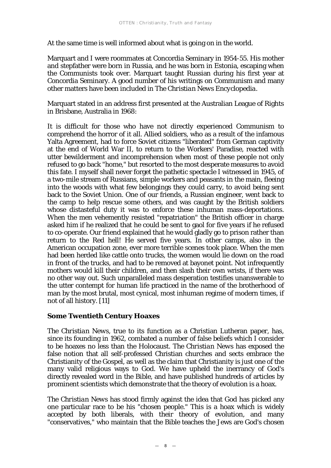At the same time is well informed about what is going on in the world.

Marquart and I were roommates at Concordia Seminary in 1954-55. His mother and stepfather were born in Russia, and he was born in Estonia, escaping when the Communists took over. Marquart taught Russian during his first year at Concordia Seminary. A good number of his writings on Communism and many other matters have been included in *The Christian News Encyclopedia*.

Marquart stated in an address first presented at the Australian League of Rights in Brisbane, Australia in 1968:

It is difficult for those who have not directly experienced Communism to comprehend the horror of it all. Allied soldiers, who as a result of the infamous Yalta Agreement, had to force Soviet citizens "liberated" from German captivity at the end of World War II, to return to the Workers' Paradise, reacted with utter bewilderment and incomprehension when most of these people not only refused to go back "home," but resorted to the most desperate measures to avoid this fate. I myself shall never forget the pathetic spectacle I witnessed in 1945, of a two-mile stream of Russians, simple workers and peasants in the main, fleeing into the woods with what few belongings they could carry, to avoid being sent back to the Soviet Union. One of our friends, a Russian engineer, went back to the camp to help rescue some others, and was caught by the British soldiers whose distasteful duty it was to enforce these inhuman mass-deportations. When the men vehemently resisted "repatriation" the British officer in charge asked him if he realized that he could be sent to gaol for five years if he refused to co-operate. Our friend explained that he would gladly go to prison rather than return to the Red hell! He served five years. In other camps, also in the American occupation zone, ever more terrible scenes took place. When the men had been herded like cattle onto trucks, the women would lie down on the road in front of the trucks, and had to be removed at bayonet point. Not infrequently mothers would kill their children, and then slash their own wrists, if there was no other way out. Such unparalleled mass desperation testifies unanswerable to the utter contempt for human life practiced in the name of the brotherhood of man by the most brutal, most cynical, most inhuman regime of modern times, if not of all history. [11]

#### **Some Twentieth Century Hoaxes**

*The Christian News*, true to its function as a Christian Lutheran paper, has, since its founding in 1962, combated a number of false beliefs which I consider to be hoaxes no less than the Holocaust. *The Christian News* has exposed the false notion that all self-professed Christian churches and sects embrace the Christianity of the Gospel, as well as the claim that Christianity is just one of the many valid religious ways to God. We have upheld the inerrancy of God's directly revealed word in the Bible, and have published hundreds of articles by prominent scientists which demonstrate that the theory of evolution is a hoax.

*The Christian News* has stood firmly against the idea that God has picked any one particular race to be his "chosen people." This is a hoax which is widely accepted by both liberals, with their theory of evolution, and many "conservatives," who maintain that the Bible teaches the Jews are God's chosen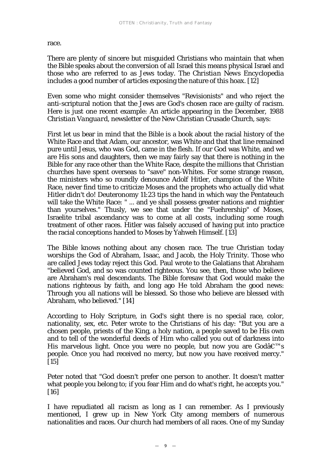race.

There are plenty of sincere but misguided Christians who maintain that when the Bible speaks about the conversion of all Israel this means physical Israel and those who are referred to as Jews today. *The Christian News Encyclopedia* includes a good number of articles exposing the nature of this hoax. [12]

Even some who might consider themselves "Revisionists" and who reject the anti-scriptural notion that the Jews are God's chosen race are guilty of racism. Here is just one recent example: An article appearing in the December, 1988 *Christian Vanguard*, newsletter of the New Christian Crusade Church, says:

First let us bear in mind that the Bible is a book about the racial history of the White Race and that Adam, our ancestor, was White and that that line remained pure until Jesus, who was God, came in the flesh. If our God was White, and we are His sons and daughters, then we may fairly say that there is nothing in the Bible for any race other than the White Race, despite the millions that Christian churches have spent overseas to "save" non-Whites. For some strange reason, the ministers who so roundly denounce Adolf Hitler, champion of the White Race, never find time to criticize Moses and the prophets who actually did what Hitler didn't do! Deuteronomy 11:23 tips the hand in which way the Pentateuch will take the White Race: " ... and ye shall possess greater nations and mightier than yourselves." Thusly, we see that under the "Fuehrership" of Moses, Israelite tribal ascendancy was to come at all costs, including some rough treatment of other races. Hitler was falsely accused of having put into practice the racial conceptions handed to Moses by Yahweh Himself. [13]

The Bible knows nothing about any chosen race. The true Christian today worships the God of Abraham, Isaac, and Jacob, the Holy Trinity. Those who are called Jews today reject this God. Paul wrote to the Galatians that Abraham "believed God, and so was counted righteous. You see, then, those who believe are Abraham's real descendants. The Bible foresaw that God would make the nations righteous by faith, and long ago He told Abraham the good news: Through you all nations will be blessed. So those who believe are blessed with Abraham, who believed." [14]

According to Holy Scripture, in God's sight there is no special race, color, nationality, sex, etc. Peter wrote to the Christians of his day: "But you are a chosen people, priests of the King, a holy nation, a people saved to be His own and to tell of the wonderful deeds of Him who called you out of darkness into His marvelous light. Once you were no people, but now you are God's people. Once you had received no mercy, but now you have received mercy." [15]

Peter noted that "God doesn't prefer one person to another. It doesn't matter what people you belong to; if you fear Him and do what's right, he accepts you." [16]

I have repudiated all racism as long as I can remember. As I previously mentioned, I grew up in New York City among members of numerous nationalities and races. Our church had members of all races. One of my Sunday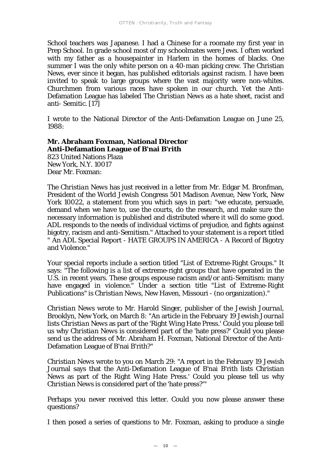School teachers was Japanese. I had a Chinese for a roomate my first year in Prep School. In grade school most of my schoolmates were Jews. I often worked with my father as a housepainter in Harlem in the homes of blacks. One summer I was the only white person on a 40-man picking crew. The Christian News, ever since it began, has published editorials against racism. I have been invited to speak to large groups where the vast majority were non-whites. Churchmen from various races have spoken in our church. Yet the Anti-Defamation League has labeled *The Christian News* as a hate sheet, racist and anti- Semitic. [17]

I wrote to the National Director of the Anti-Defamation League on June 25, 1988:

# **Mr. Abraham Foxman, National Director Anti-Defamation League of B'nai B'rith**

823 United Nations Plaza New York, N.Y. 10017 Dear Mr. Foxman:

*The Christian News* has just received in a letter from Mr. Edgar M. Bronfman, President of the World Jewish Congress 501 Madison Avenue, New York, New York 10022, a statement from you which says in part: "we educate, persuade, demand when we have to, use the courts, do the research, and make sure the necessary information is published and distributed where it will do some good. ADL responds to the needs of individual victims of prejudice, and fights against bigotry, racism and anti-Semitism." Attached to your statement is a report titled " An ADL Special Report - HATE GROUPS IN AMERICA - A Record of Bigotry and Violence."

Your special reports include a section titled "List of Extreme-Right Groups." It says: "The following is a list of extreme-right groups that have operated in the U.S. in recent years. These groups espouse racism and/or anti-Semitism: many have engaged in violence." Under a section title "List of Extreme-Right Publications" is *Christian News*, New Haven, Missouri - (no organization)."

*Christian News* wrote to Mr. Harold Singer, publisher of the *Jewish Journal*, Brooklyn, New York, on March 8: "An article in the February 19 *Jewish Journal* lists *Christian News* as part of the 'Right Wing Hate Press.' Could you please tell us why *Christian News* is considered part of the 'hate press?' Could you please send us the address of Mr. Abraham H. Foxman, National Director of the Anti-Defamation League of B'nai B'rith?"

*Christian News* wrote to you on March 29: "A report in the February 19 Jewish Journal says that the Anti-Defamation League of B'nai B'rith lists *Christian News* as part of the Right Wing Hate Press.' Could you please tell us why *Christian News* is considered part of the 'hate press?'"

Perhaps you never received this letter. Could you now please answer these questions?

I then posed a series of questions to Mr. Foxman, asking to produce a single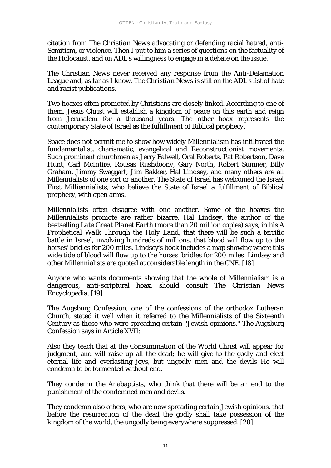citation from *The Christian News* advocating or defending racial hatred, anti-Semitism, or violence. Then I put to him a series of questions on the factuality of the Holocaust, and on ADL's willingness to engage in a debate on the issue.

*The Christian News* never received any response from the Anti-Defamation League and, as far as I know, *The Christian News* is still on the ADL's list of hate and racist publications.

Two hoaxes often promoted by Christians are closely linked. According to one of them, Jesus Christ will establish a kingdom of peace on this earth and reign from Jerusalem for a thousand years. The other hoax represents the contemporary State of Israel as the fulfillment of Biblical prophecy.

Space does not permit me to show how widely Millennialism has infiltrated the fundamentalist, charismatic, evangelical and Reconstructionist movements. Such prominent churchmen as Jerry Falwell, Oral Roberts, Pat Robertson, Dave Hunt, Carl McIntire, Rousas Rushdoony, Gary North, Robert Sumner, Billy Graham, Jimmy Swaggart, Jim Bakker, Hal Lindsey, and many others are all Millennialists of one sort or another. The State of Israel has welcomed the Israel First Milliennialists, who believe the State of Israel a fulfillment of Biblical prophecy, with open arms.

Millennialists often disagree with one another. Some of the hoaxes the Millennialists promote are rather bizarre. Hal Lindsey, the author of the bestselling *Late Great Planet Earth* (more than 20 million copies) says, in his *A Prophetical Walk Through the Holy Land,* that there will be such a terrific battle in Israel, involving hundreds of millions, that blood will flow up to the horses' bridles for 200 miles. Lindsey's book includes a map showing where this wide tide of blood will flow up to the horses' bridles for 200 miles. Lindsey and other Millennialists are quoted at considerable length in the CNE. [18]

Anyone who wants documents showing that the whole of Millennialism is a dangerous, anti-scriptural hoax, should consult *The Christian News Encyclopedia*. [19]

The Augsburg Confession, one of the confessions of the orthodox Lutheran Church, stated it well when it referred to the Millennialists of the Sixteenth Century as those who were spreading certain "Jewish opinions." The Augsburg Confession says in Article XVII:

Also they teach that at the Consummation of the World Christ will appear for judgment, and will raise up all the dead; he will give to the godly and elect eternal life and everlasting joys, but ungodly men and the devils He will condemn to be tormented without end.

They condemn the Anabaptists, who think that there will be an end to the punishment of the condemned men and devils.

They condemn also others, who are now spreading certain Jewish opinions, that before the resurrection of the dead the godly shall take possession of the kingdom of the world, the ungodly being everywhere suppressed. [20]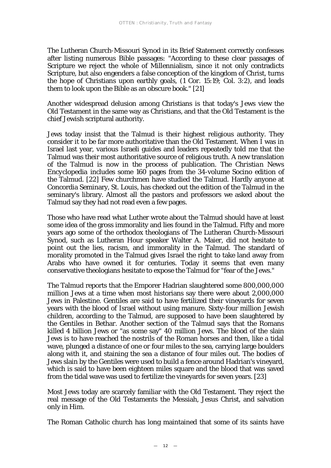The Lutheran Church-Missouri Synod in its Brief Statement correctly confesses after listing numerous Bible passages: "According to these clear passages of Scripture we reject the whole of Millennialism, since it not only contradicts Scripture, but also engenders a false conception of the kingdom of Christ, turns the hope of Christians upon earthly goals, (1 Cor. 15:19; Col. 3:2), and leads them to look upon the Bible as an obscure book." [21]

Another widespread delusion among Christians is that today's Jews view the Old Testament in the same way as Christians, and that the Old Testament is the chief Jewish scriptural authority.

Jews today insist that the Talmud is their highest religious authority. They consider it to be far more authoritative than the Old Testament. When I was in Israel last year, various Israeli guides and leaders repeatedly told me that the Talmud was their most authoritative source of religious truth. A new translation of the Talmud is now in the process of publication. *The Christian News Encyclopedia* includes some 160 pages from the 34-volume Socino edition of the Talmud. [22] Few churchmen have studied the Talmud. Hardly anyone at Concordia Seminary, St. Louis, has checked out the edition of the Talmud in the seminary's library. Almost all the pastors and professors we asked about the Talmud say they had not read even a few pages.

Those who have read what Luther wrote about the Talmud should have at least some idea of the gross immorality and lies found in the Talmud. Fifty and more years ago some of the orthodox theologians of The Lutheran Church-Missouri Synod, such as Lutheran Hour speaker Walter A. Maier, did not hesitate to point out the lies, racism, and immorality in the Talmud. The standard of morality promoted in the Talmud gives Israel the right to take land away from Arabs who have owned it for centuries. Today it seems that even many conservative theologians hesitate to expose the Talmud for "fear of the Jews."

The Talmud reports that the Emporer Hadrian slaughtered some 800,000,000 million Jews at a time when most historians say there were about 2,000,000 Jews in Palestine. Gentiles are said to have fertilized their vineyards for seven years with the blood of Israel without using manure. Sixty-four million Jewish children, according to the Talmud, are supposed to have been slaughtered by the Gentiles in Bethar. Another section of the Talmud says that the Romans killed 4 billion Jews or "as some say" 40 million Jews. The blood of the slain Jews is to have reached the nostrils of the Roman horses and then, like a tidal wave, plunged a distance of one or four miles to the sea, carrying large boulders along with it, and staining the sea a distance of four miles out. The bodies of Jews slain by the Gentiles were used to build a fence around Hadrian's vineyard, which is said to have been eighteen miles square and the blood that was saved from the tidal wave was used to fertilize the vineyards for seven years. [23]

Most Jews today are scarcely familiar with the Old Testament. They reject the real message of the Old Testaments the Messiah, Jesus Christ, and salvation only in Him.

The Roman Catholic church has long maintained that some of its saints have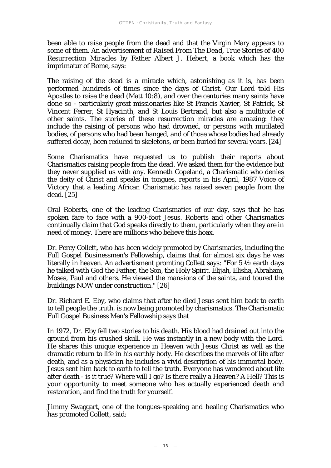been able to raise people from the dead and that the Virgin Mary appears to some of them. An advertisement of *Raised From The Dead, True Stories of 400 Resurrection Miracles* by Father Albert J. Hebert, a book which has the imprimatur of Rome, says:

The raising of the dead is a miracle which, astonishing as it is, has been performed hundreds of times since the days of Christ. Our Lord told His Apostles to raise the dead (Matt 10:8), and over the centuries many saints have done so - particularly great missionaries like St Francis Xavier, St Patrick, St Vincent Ferrer, St Hyacinth, and St Louis Bertrand, but also a multitude of other saints. The stories of these resurrection miracles are amazing: they include the raising of persons who had drowned, or persons with mutilated bodies, of persons who had been hanged, and of those whose bodies had already suffered decay, been reduced to skeletons, or been buried for several years. [24]

Some Charismatics have requested us to publish their reports about Charismatics raising people from the dead. We asked them for the evidence but they never supplied us with any. Kenneth Copeland, a Charismatic who denies the deity of Christ and speaks in tongues, reports in his April, 1987 *Voice of Victory* that a leading African Charismatic has raised seven people from the dead. [25]

Oral Roberts, one of the leading Charismatics of our day, says that he has spoken face to face with a 900-foot Jesus. Roberts and other Charismatics continually claim that God speaks directly to them, particularly when they are in need of money. There are millions who believe this hoax.

Dr. Percy Collett, who has been widely promoted by Charismatics, including the Full Gospel Businessmen's Fellowship, claims that for almost six days he was literally in heaven. An advertisment promting Collett says: "For  $5\frac{1}{2}$  earth days he talked with God the Father, the Son, the Holy Spirit. Elijah, Elisha, Abraham, Moses, Paul and others. He viewed the mansions of the saints, and toured the buildings NOW under construction." [26]

Dr. Richard E. Eby, who claims that after he died Jesus sent him back to earth to tell people the truth, is now being promoted by charismatics. The Charismatic Full Gospel Business Men's Fellowship says that

In 1972, Dr. Eby fell two stories to his death. His blood had drained out into the ground from his crushed skull. He was instantly in a new body with the Lord. He shares this unique experience in Heaven with Jesus Christ as well as the dramatic return to life in his earthly body. He describes the marvels of life after death, and as a physician he includes a vivid description of his immortal body. Jesus sent him back to earth to tell the truth. Everyone has wondered about life after death - is it true? Where will I go? Is there really a Heaven? A Hell? This is your opportunity to meet someone who has actually experienced death and restoration, and find the truth for yourself.

Jimmy Swaggart, one of the tongues-speaking and healing Charismatics who has promoted Collett, said: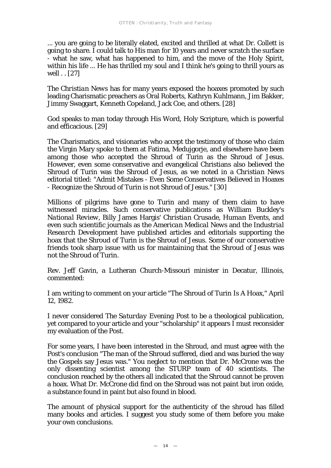... you are going to be literally elated, excited and thrilled at what Dr. Collett is going to share. I could talk to His man for 10 years and never scratch the surface - what he saw, what has happened to him, and the move of the Holy Spirit, within his life ... He has thrilled my soul and I think he's going to thrill yours as well . . [27]

*The Christian News* has for many years exposed the hoaxes promoted by such leading Charismatic preachers as Oral Roberts, Kathryn Kuhlmann, Jim Bakker, Jimmy Swaggart, Kenneth Copeland, Jack Coe, and others. [28]

God speaks to man today through His Word, Holy Scripture, which is powerful and efficacious. [29]

The Charismatics, and visionaries who accept the testimony of those who claim the Virgin Mary spoke to them at Fatima, Medujgorje, and elsewhere have been among those who accepted the Shroud of Turin as the Shroud of Jesus. However, even some conservative and evangelical Christians also believed the Shroud of Turin was the Shroud of Jesus, as we noted in a *Christian News* editorial titled: "Admit Mistakes - Even Some Conservatives Believed in Hoaxes - Recognize the Shroud of Turin is not Shroud of Jesus." [30]

Millions of pilgrims have gone to Turin and many of them claim to have witnessed miracles. Such conservative publications as William Buckley's *National Review*, Billy James Hargis' *Christian Crusade*, *Human Events*, and even such scientific journals as the *American Medical News* and the *Industrial Research Development* have published articles and editorials supporting the hoax that the Shroud of Turin is the Shroud of Jesus. Some of our conservative friends took sharp issue with us for maintaining that the Shroud of Jesus was not the Shroud of Turin.

Rev. Jeff Gavin, a Lutheran Church-Missouri minister in Decatur, Illinois, commented:

I am writing to comment on your article "The Shroud of Turin Is A Hoax," April 12, 1982.

I never considered *The Saturday Evening Post* to be a theological publication, yet compared to your article and your "scholarship" it appears I must reconsider my evaluation of the *Post*.

For some years, I have been interested in the Shroud, and must agree with the *Pos*t's conclusion "The man of the Shroud suffered, died and was buried the way the Gospels say Jesus was." You neglect to mention that Dr. McCrone was the only dissenting scientist among the STURP team of 40 scientists. The conclusion reached by the others all indicated that the Shroud cannot be proven a hoax. What Dr. McCrone did find on the Shroud was not paint but iron oxide, a substance found in paint but also found in blood.

The amount of physical support for the authenticity of the shroud has filled many books and articles. I suggest you study some of them before you make your own conclusions.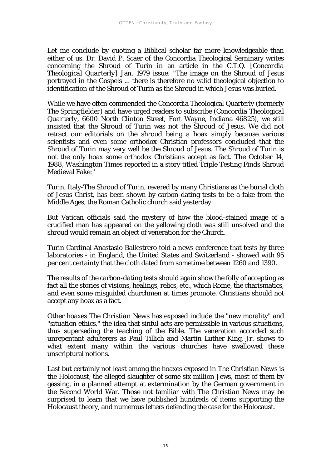Let me conclude by quoting a Biblical scholar far more knowledgeable than either of us. Dr. David P. Scaer of the Concordia Theological Serninary writes concerning the Shroud of Turin in an article in the C.T.Q. [*Concordia Theological Quarterly*] Jan. 1979 issue: "The image on the Shroud of Jesus portrayed in the Gospels ... there is therefore no valid theological objection to identification of the Shroud of Turin as the Shroud in which Jesus was buried.

While we have often commended the Concordia Theological Quarterly (formerly *The Springfielder*) and have urged readers to subscribe (*Concordia Theological Quarterly,* 6600 North Clinton Street, Fort Wayne, Indiana 46825), we still insisted that the Shroud of Turin was not the Shroud of Jesus. We did not retract our editorials on the shroud being a hoax simply because various scientists and even some orthodox Christian professors concluded that the Shroud of Turin may very well be the Shroud of Jesus. The Shroud of Turin is not the only hoax some orthodox Christians accept as fact. The October 14, 1988, *Washington Times* reported in a story titled Triple Testing Finds Shroud Medieval Fake:"

Turin, Italy-The Shroud of Turin, revered by many Christians as the burial cloth of Jesus Christ, has been shown by carbon-dating tests to be a fake from the Middle Ages, the Roman Catholic church said yesterday.

But Vatican officials said the mystery of how the blood-stained image of a crucified man has appeared on the yellowing cloth was still unsolved and the shroud would remain an object of veneration for the Church.

Turin Cardinal Anastasio Ballestrero told a news conference that tests by three laboratories - in England, the United States and Switzerland - showed with 95 per cent certainty that the cloth dated from sometime between 1260 and 1390.

The results of the carbon-dating tests should again show the folly of accepting as fact all the stories of visions, healings, relics, etc., which Rome, the charismatics, and even some misguided churchmen at times promote. Christians should not accept any hoax as a fact.

Other hoaxes *The Christian News* has exposed include the "new morality" and "situation ethics," the idea that sinful acts are permissible in various situations, thus superseding the teaching of the Bible. The veneration accorded such unrepentant adulterers as Paul Tillich and Martin Luther King, Jr. shows to what extent many within the various churches have swallowed these unscriptural notions.

Last but certainly not least among the hoaxes exposed in *The Christian News* is the Holocaust, the alleged slaughter of some six million Jews, most of them by gassing, in a planned attempt at extermination by the German government in the Second World War. Those not familiar with *The Christian News* may be surprised to learn that we have published hundreds of items supporting the Holocaust theory, and numerous letters defending the case for the Holocaust.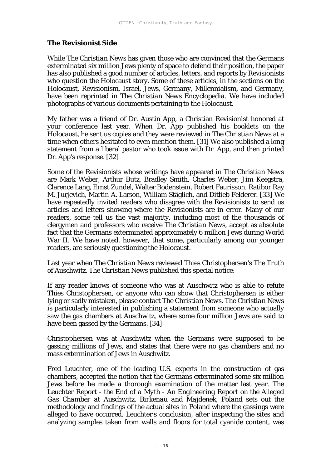#### **The Revisionist Side**

While *The Christian News* has given those who are convinced that the Germans exterminated six million Jews plenty of space to defend their position, the paper has also published a good number of articles, letters, and reports by Revisionists who question the Holocaust story. Some of these articles, in the sections on the Holocaust, Revisionism, Israel, Jews, Germany, Millennialism, and Germany, have been reprinted in *The Christian News Encyclopedia*. We have included photographs of various documents pertaining to the Holocaust.

My father was a friend of Dr. Austin App, a Christian Revisionist honored at your conference last year. When Dr. App published his booklets on the Holocaust, he sent us copies and they were reviewed in *The Christian News* at a time when others hesitated to even mention them. [31] We also published a long statement from a liberal pastor who took issue with Dr. App, and then printed Dr. App's response. [32]

Some of the Revisionists whose writings have appeared in *The Christian News* are Mark Weber, Arthur Butz, Bradley Smith, Charles Weber, Jim Keegstra, Clarence Lang, Ernst Zundel, Walter Bodenstein, Robert Faurisson, Ratibor Ray M. Jurjevich, Martin A. Larson, William Stäglich, and Ditlieb Felderer. [33] We have repeatedly invited readers who disagree with the Revisionists to send us articles and letters showing where the Revisionists are in error. Many of our readers, some tell us the vast majority, including most of the thousands of clergymen and professors who receive *The Christian News*, accept as absolute fact that the Germans exterminated approximately 6 million Jews during World War II. We have noted, however, that some, particularly among our younger readers, are seriously questioning the Holocaust.

#### Last year when *The Christian News* reviewed Thies Christophersen's *The Truth of Auschwitz, The Christian News* published this special notice:

If any reader knows of someone who was at Auschwitz who is able to refute Thies Christophersen, or anyone who can show that Christophersen is either lying or sadly mistaken, please contact *The Christian News*. *The Christian News*  is particularly interested in publishing a statement from someone who actually saw the gas chambers at Auschwitz, where some four million Jews are said to have been gassed by the Germans. [34]

Christophersen was at Auschwitz when the Germans were supposed to be gassing millions of Jews, and states that there were no gas chambers and no mass extermination of Jews in Auschwitz.

Fred Leuchter, one of the leading U.S. experts in the construction of gas chambers, accepted the notion that the Germans exterminated some six million Jews before he made a thorough examination of the matter last year. *The Leuchter Report - the End of a Myth - An Engineering Report on the Alleged*  Gas Chamber at Auschwitz, Birkenau and Majdenek, Poland sets out the methodology and findings of the actual sites in Poland where the gassings were alleged to have occurred. Leuchter's conclusion, after inspecting the sites and analyzing samples taken from walls and floors for total cyanide content, was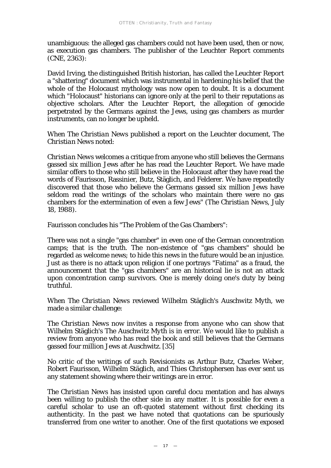unambiguous: the alleged gas chambers could not have been used, then or now, as execution gas chambers. The publisher of the *Leuchter Report* comments (CNE, 2363):

David Irving, the distinguished British historian, has called the *Leuchter Report* a "shattering" document which was instrumental in hardening his belief that the whole of the Holocaust mythology was now open to doubt. It is a document which "Holocaust" historians can ignore only at the peril to their reputations as objective scholars. After the *Leuchter Report*, the allegation of genocide perpetrated by the Germans against the Jews, using gas chambers as murder instruments, can no longer be upheld.

When *The Christian News* published a report on the Leuchter document, *The Christian News* noted:

*Christian News* welcomes a critique from anyone who still believes the Germans gassed six million Jews after he has read the *Leuchter Report*. We have made similar offers to those who still believe in the Holocaust after they have read the words of Faurisson, Rassinier, Butz, Stäglich, and Felderer. We have repeatedly discovered that those who believe the Germans gassed six million Jews have seldom read the writings of the scholars who maintain there were no gas chambers for the extermination of even a few Jews" (*The Christian News*, July 18, 1988).

Faurisson concludes his "The Problem of the Gas Chambers":

There was not a single "gas chamber" in even one of the German concentration camps; that is the truth. The non-existence of "gas chambers" should be regarded as welcome news; to hide this news in the future would be an injustice. Just as there is no attack upon religion if one portrays "Fatima" as a fraud, the announcement that the "gas chambers" are an historical lie is not an attack upon concentration camp survivors. One is merely doing one's duty by being truthful.

When *The Christian News* reviewed Wilhelm Stäglich's *Auschwitz Myth*, we made a similar challenge:

*The Christian News* now invites a response from anyone who can show that Wilhelm Stäglich's *The Auschwitz Myth* is in error. We would like to publish a review from anyone who has read the book and still believes that the Germans gassed four million Jews at Auschwitz. [35]

No critic of the writings of such Revisionists as Arthur Butz, Charles Weber, Robert Faurisson, Wilhelm Stäglich, and Thies Christophersen has ever sent us any statement showing where their writings are in error.

*The Christian News* has insisted upon careful docu mentation and has always been willing to publish the other side in any matter. It is possible for even a careful scholar to use an oft-quoted statement without first checking its authenticity. In the past we have noted that quotations can be spuriously transferred from one writer to another. One of the first quotations we exposed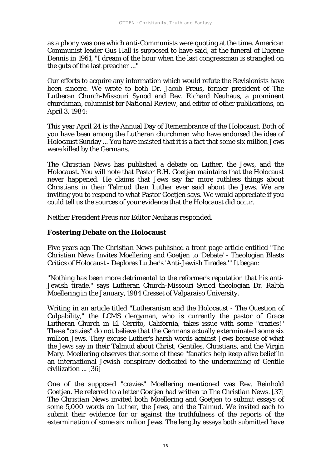as a phony was one which anti-Communists were quoting at the time. American Communist leader Gus Hall is supposed to have said, at the funeral of Eugene Dennis in 1961, "I dream of the hour when the last congressman is strangled on the guts of the last preacher ..."

Our efforts to acquire any information which would refute the Revisionists have been sincere. We wrote to both Dr. Jacob Preus, former president of The Lutheran Church-Missouri Synod and Rev. Richard Neuhaus, a prominent churchman, columnist for *National Review*, and editor of other publications, on April 3, 1984:

This year April 24 is the Annual Day of Remembrance of the Holocaust. Both of you have been among the Lutheran churchmen who have endorsed the idea of Holocaust Sunday ... You have insisted that it is a fact that some six million Jews were killed by the Germans.

*The Christian News* has published a debate on Luther, the Jews, and the Holocaust. You will note that Pastor R.H. Goetjen maintains that the Holocaust never happened. He claims that Jews say far more ruthless things about Christians in their Talmud than Luther ever said about the Jews. We are inviting you to respond to what Pastor Goetjen says. We would appreciate if you could tell us the sources of your evidence that the Holocaust did occur.

Neither President Preus nor Editor Neuhaus responded.

#### **Fostering Debate on the Holocaust**

Five years ago *The Christian News* published a front page article entitled "*The Christian News* Invites Moellering and Goetjen to 'Debate' - Theologian Blasts Critics of Holocaust - Deplores Luther's 'Anti-Jewish Tirades.'" It began:

"Nothing has been more detrimental to the reformer's reputation that his anti-Jewish tirade," says Lutheran Church-Missouri Synod theologian Dr. Ralph Moellering in the January, 1984 Cresset of Valparaiso University.

Writing in an article titled "Lutheranism and the Holocaust - The Question of Culpability," the LCMS clergyman, who is currently the pastor of Grace Lutheran Church in El Cerrito, California, takes issue with some "crazies!" These "crazies" do not believe that the Germans actually exterminated some six million Jews. They excuse Luther's harsh words against Jews because of what the Jews say in their Talmud about Christ, Gentiles, Christians, and the Virgin Mary. Moellering observes that some of these "fanatics help keep alive belief in an international Jewish conspiracy dedicated to the undermining of Gentile civilization ... [36]

One of the supposed "crazies" Moellering mentioned was Rev. Reinhold Goetjen. He referred to a letter Goetjen had written to *The Christian News*. [37] *The Christian News* invited both Moellering and Goetjen to submit essays of some 5,000 words on Luther, the Jews, and the Talmud. We invited each to submit their evidence for or against the truthfulness of the reports of the extermination of some six milion Jews. The lengthy essays both submitted have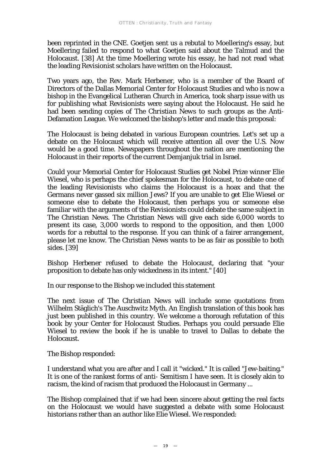been reprinted in the CNE. Goetjen sent us a rebutal to Moellering's essay, but Moellering failed to respond to what Goetjen said about the Talmud and the Holocaust. [38] At the time Moellering wrote his essay, he had not read what the leading Revisionist scholars have written on the Holocaust.

Two years ago, the Rev. Mark Herbener, who is a member of the Board of Directors of the Dallas Memorial Center for Holocaust Studies and who is now a bishop in the Evangelical Lutheran Church in America, took sharp issue with us for publishing what Revisionists were saying about the Holocaust. He said he had been sending copies of *The Christian News* to such groups as the Anti-Defamation League. We welcomed the bishop's letter and made this proposal:

The Holocaust is being debated in various European countries. Let's set up a debate on the Holocaust which will receive attention all over the U.S. Now would be a good time. Newspapers throughout the nation are mentioning the Holocaust in their reports of the current Demjanjuk trial in Israel.

Could your Memorial Center for Holocaust Studies get Nobel Prize winner Elie Wiesel, who is perhaps the chief spokesman for the Holocaust, to debate one of the leading Revisionists who claims the Holocaust is a hoax and that the Germans never gassed six million Jews? If you are unable to get Elie Wiesel or someone else to debate the Holocaust, then perhaps you or someone else familiar with the arguments of the Revisionists could debate the same subject in The Christian News. The Christian News will give each side 6,000 words to present its case, 3,000 words to respond to the opposition, and then 1,000 words for a rebuttal to the response. If you can think of a fairer arrangement, please let me know. The Christian News wants to be as fair as possible to both sides. [39]

Bishop Herbener refused to debate the Holocaust, declaring that "your proposition to debate has only wickedness in its intent." [40]

In our response to the Bishop we included this statement

The next issue of *The Christian News* will include some quotations from Wilhelm Stäglich's *The Auschwitz Myth*. An English translation of this book has just been published in this country. We welcome a thorough refutation of this book by your Center for Holocaust Studies. Perhaps you could persuade Elie Wiesel to review the book if he is unable to travel to Dallas to debate the Holocaust.

The Bishop responded:

I understand what you are after and I call it "wicked." It is called "Jew-baiting." It is one of the rankest forms of anti- Semitism I have seen. It is closely akin to racism, the kind of racism that produced the Holocaust in Germany ...

The Bishop complained that if we had been sincere about getting the real facts on the Holocaust we would have suggested a debate with some Holocaust historians rather than an author like Elie Wiesel. We responded: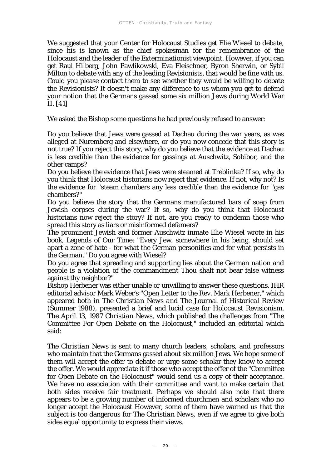We suggested that your Center for Holocaust Studies get Elie Wiesel to debate, since his is known as the chief spokesman for the remembrance of the Holocaust and the leader of the Exterminationist viewpoint. However, if you can get Raul Hilberg, John Pawlikowski, Eva Fleischner, Byron Sherwin, or Sybil Milton to debate with any of the leading Revisionists, that would be fine with us. Could you please contact them to see whether they would be willing to debate the Revisionists? It doesn't make any difference to us whom you get to defend your notion that the Germans gassed some six million Jews during World War II. [41]

We asked the Bishop some questions he had previously refused to answer:

Do you believe that Jews were gassed at Dachau during the war years, as was alleged at Nuremberg and elsewhere, or do you now concede that this story is not true? If you reject this story, why do you believe that the evidence at Dachau is less credible than the evidence for gassings at Auschwitz, Sobibor, and the other camps?

Do you believe the evidence that Jews were steamed at Treblinka? If so, why do you think that Holocaust historians now reject that evidence. If not, why not? Is the evidence for "steam chambers any less credible than the evidence for "gas chambers?"

Do you believe the story that the Germans manufactured bars of soap from Jewish corpses during the war? If so, why do you think that Holocaust historians now reject the story? If not, are you ready to condemn those who spread this story as liars or misinformed defamers?

The prominent Jewish and former Auschwitz inmate Elie Wiesel wrote in his book, *Legends of Our Time*: "Every Jew, somewhere in his being, should set apart a zone of hate - for what the German personifies and for what persists in the German." Do you agree with Wiesel?

Do you agree that spreading and supporting lies about the German nation and people is a violation of the commandment Thou shalt not bear false witness against thy neighbor?"

Bishop Herbener was either unable or unwilling to answer these questions. IHR editorial advisor Mark Weber's "Open Letter to the Rev. Mark Herbener," which appeared both in *The Christian News and The Journal of Historical Review* (Summer 1988), presented a brief and lucid case for Holocaust Revisionism. The April 13, 1987 *Christian News*, which published the challenges from "The Committee For Open Debate on the Holocaust," included an editorial which said:

*The Christian News* is sent to many church leaders, scholars, and professors who maintain that the Germans gassed about six million Jews. We hope some of them will accept the offer to debate or urge some scholar they know to accept the offer. We would appreciate it if those who accept the offer of the "Committee" for Open Debate on the Holocaust" would send us a copy of their acceptance. We have no association with their committee and want to make certain that both sides receive fair treatment. Perhaps we should also note that there appears to be a growing number of informed churchmen and scholars who no longer accept the Holocaust However, some of them have warned us that the subject is too dangerous for *The Christian News*, even if we agree to give both sides equal opportunity to express their views.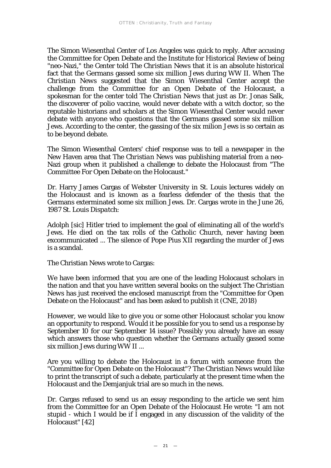The Simon Wiesenthal Center of Los Angeles was quick to reply. After accusing the Committee for Open Debate and the Institute for Historical Review of being "neo-Nazi," the Center told *The Christian News* that it is an absolute historical fact that the Germans gassed some six million Jews during WW II. When *The Christian News* suggested that the Simon Wiesenthal Center accept the challenge from the Committee for an Open Debate of the Holocaust, a spokesman for the center told *The Christian News* that just as Dr. Jonas Salk, the discoverer of polio vaccine, would never debate with a witch doctor, so the reputable historians and scholars at the Simon Wiesenthal Center would never debate with anyone who questions that the Germans gassed some six million Jews. According to the center, the gassing of the six milion Jews is so certain as to be beyond debate.

The Simon Wiesenthal Centers' chief response was to tell a newspaper in the New Haven area that *The Christian News* was publishing material from a neo-Nazi group when it published a challenge to debate the Holocaust from "The Committee For Open Debate on the Holocaust."

Dr. Harry James Cargas of Webster University in St. Louis lectures widely on the Holocaust and is known as a fearless defender of the thesis that the Germans exterminated some six million Jews. Dr. Cargas wrote in the June 26, 1987 *St. Louis Dispatch*:

Adolph [sic] Hitler tried to implement the goal of eliminating all of the world's Jews. He died on the tax rolls of the Catholic Church, never having been excommunicated ... The silence of Pope Pius XII regarding the murder of Jews is a scandal.

The Christian News wrote to Cargas:

We have been informed that you are one of the leading Holocaust scholars in the nation and that you have written several books on the subject *The Christian News* has just received the enclosed manuscript from the "Committee for Open Debate on the Holocaust" and has been asked to publish it (CNE, 2018)

However, we would like to give you or some other Holocaust scholar you know an opportunity to respond. Would it be possible for you to send us a response by September 10 for our September 14 issue? Possibly you already have an essay which answers those who question whether the Germans actually gassed some six million Jews during WW II ...

Are you willing to debate the Holocaust in a forum with someone from the "Committee for Open Debate on the Holocaust"? *The Christian News* would like to print the transcript of such a debate, particularly at the present time when the Holocaust and the Demjanjuk trial are so much in the news.

Dr. Cargas refused to send us an essay responding to the article we sent him from the Committee for an Open Debate of the Holocaust He wrote: "I am not stupid - which I would be if I engaged in any discussion of the validity of the Holocaust" [42]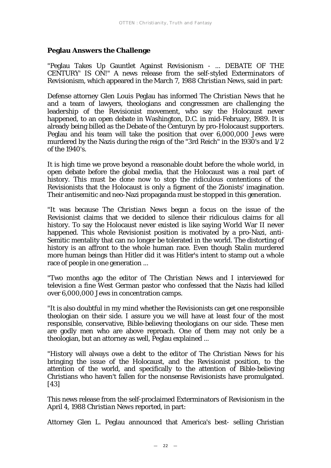#### **Peglau Answers the Challenge**

"Peglau Takes Up Gauntlet Against Revisionism - ... DEBATE OF THE CENTURY' IS ON!" A news release from the self-styled Exterminators of Revisionism, which appeared in the March 7, 1988 *Christian News*, said in part:

Defense attorney Glen Louis Peglau has informed *The Christian News* that he and a team of lawyers, theologians and congressmen are challenging the leadership of the Revisionist movement, who say the Holocaust never happened, to an open debate in Washington, D.C. in mid-February, 1989. It is already being billed as the Debate of the Centuryn by pro-Holocaust supporters. Peglau and his team will take the position that over 6,000,000 Jews were murdered by the Nazis during the reign of the "3rd Reich" in the 1930's and 1/2 of the 1940's.

It is high time we prove beyond a reasonable doubt before the whole world, in open debate before the global media, that the Holocaust was a real part of history. This must be done now to stop the ridiculous contentions of the Revisionists that the Holocaust is only a figment of the Zionists' imagination. Their antisemitic and neo-Nazi propaganda must be stopped in this generation.

"It was because *The Christian News* began a focus on the issue of the Revisionist claims that we decided to silence their ridiculous claims for all history. To say the Holocaust never existed is like saying World War II never happened. This whole Revisionist position is motivated by a pro-Nazi, anti-Semitic mentality that can no longer be tolerated in the world. The distorting of history is an affront to the whole human race. Even though Stalin murdered more human beings than Hitler did it was Hitler's intent to stamp out a whole race of people in one generation ...

"Two months ago the editor of *The Christian News* and I interviewed for television a fine West German pastor who confessed that the Nazis had killed over 6,000,000 Jews in concentration camps.

"It is also doubtful in my mind whether the Revisionists can get one responsible theologian on their side. I assure you we will have at least four of the most responsible, conservative, Bible-believing theologians on our side. These men are godly men who are above reproach. One of them may not only be a theologian, but an attorney as well, Peglau explained ...

"History will always owe a debt to the editor of *The Christian News* for his bringing the issue of the Holocaust, and the Revisionist position, to the attention of the world, and specifically to the attention of Bible-believing Christians who haven't fallen for the nonsense Revisionists have promulgated. [43]

This news release from the self-proclaimed Exterminators of Revisionism in the April 4, 1988 *Christian News* reported, in part:

Attorney Glen L. Peglau announced that America's best- selling Christian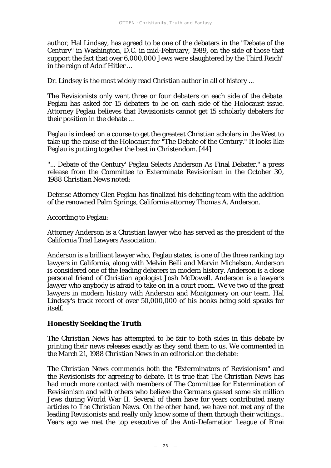author, Hal Lindsey, has agreed to be one of the debaters in the "Debate of the Century" in Washington, D.C. in mid-February, 1989, on the side of those that support the fact that over 6,000,000 Jews were slaughtered by the Third Reich" in the reign of Adolf Hitler ...

Dr. Lindsey is the most widely read Christian author in all of history ...

The Revisionists only want three or four debaters on each side of the debate. Peglau has asked for 15 debaters to be on each side of the Holocaust issue. Attorney Peglau believes that Revisionists cannot get 15 scholarly debaters for their position in the debate ...

Peglau is indeed on a course to get the greatest Christian scholars in the West to take up the cause of the Holocaust for "The Debate of the Century." It looks like Peglau is putting together the best in Christendom. [44]

"... Debate of the Century' Peglau Selects Anderson As Final Debater," a press release from the Committee to Exterminate Revisionism in the October 30, 1988 *Christian News* noted:

Defense Attorney Glen Peglau has finalized his debating team with the addition of the renowned Palm Springs, California attorney Thomas A. Anderson.

According to Peglau:

Attorney Anderson is a Christian lawyer who has served as the president of the California Trial Lawyers Association.

Anderson is a brilliant lawyer who, Peglau states, is one of the three ranking top lawyers in California, along with Melvin Belli and Marvin Michelson. Anderson is considered one of the leading debaters in modern history. Anderson is a close personal friend of Christian apologist Josh McDowell. Anderson is a lawyer's lawyer who anybody is afraid to take on in a court room. We've two of the great lawyers in modern history with Anderson and Montgomery on our team. Hal Lindsey's track record of over 50,000,000 of his books being sold speaks for itself.

#### **Honestly Seeking the Truth**

*The Christian News* has attempted to be fair to both sides in this debate by printing their news releases exactly as they send them to us. We commented in the March 21, 1988 *Christian News* in an editorial.on the debate:

*The Christian News* commends both the "Exterminators of Revisionism" and the Revisionists for agreeing to debate. It is true that *The Christian News* has had much more contact with members of The Committee for Extermination of Revisionism and with others who believe the Germans gassed some six million Jews during World War II. Several of them have for years contributed many articles to *The Christian News*. On the other hand, we have not met any of the leading Revisionists and really only know some of them through their writings.. Years ago we met the top executive of the Anti-Defamation League of B'nai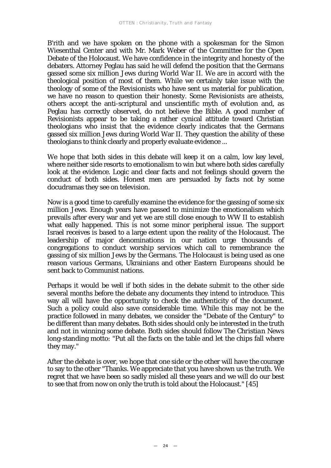B'rith and we have spoken on the phone with a spokesman for the Simon Wiesenthal Center and with Mr. Mark Weber of the Committee for the Open Debate of the Holocaust. We have confidence in the integrity and honesty of the debaters. Attorney Peglau has said he will defend the position that the Germans gassed some six million Jews during World War II. We are in accord with the theological position of most of them. While we certainly take issue with the theology of some of the Revisionists who have sent us material for publication, we have no reason to question their honesty. Some Revisionists are atheists, others accept the anti-scriptural and unscientific myth of evolution and, as Peglau has correctly observed, do not believe the Bible. A good number of Revisionists appear to be taking a rather cynical attitude toward Christian theologians who insist that the evidence clearly indicates that the Germans gassed six million Jews during World War II. They question the ability of these theologians to think clearly and properly evaluate evidence ...

We hope that both sides in this debate will keep it on a calm, low key level, where neither side resorts to emotionalism to win but where both sides carefully look at the evidence. Logic and clear facts and not feelings should govern the conduct of both sides. Honest men are persuaded by facts not by some docudramas they see on television.

Now is a good time to carefully examine the evidence for the gassing of some six million Jews. Enough years have passed to minimize the emotionalism which prevails after every war and yet we are still close enough to WW II to establish what eally happened. This is not some minor peripheral issue. The support Israel receives is based to a large extent upon the reality of the Holocaust. The leadership of major denominations in our nation urge thousands of congregations to conduct worship services which call to remembrance the gassing of six million Jews by the Germans. The Holocaust is being used as one reason various Germans, Ukrainians and other Eastern Europeans should be sent back to Communist nations.

Perhaps it would be well if both sides in the debate submit to the other side several months before the debate any documents they intend to introduce. This way all will have the opportunity to check the authenticity of the document. Such a policy could also save considerable time. While this may not be the practice followed in many debates, we consider the "Debate of the Century" to be different than many debates. Both sides should only be interested in the truth and not in winning some debate. Both sides should follow *The Christian News* long-standing motto: "Put all the facts on the table and let the chips fall where they may."

After the debate is over, we hope that one side or the other will have the courage to say to the other "Thanks. We appreciate that you have shown us the truth. We regret that we have been so sadly misled all these years and we will do our best to see that from now on only the truth is told about the Holocaust." [45]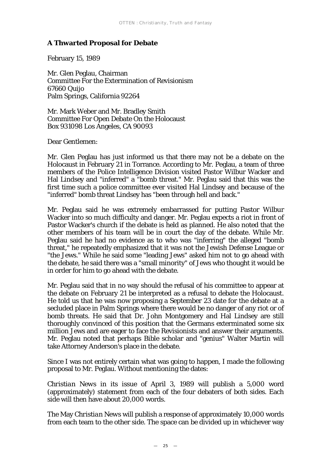#### **A Thwarted Proposal for Debate**

February 15, 1989

Mr. Glen Peglau, Chairman Committee For the Extermination of Revisionism 67660 Quijo Palm Springs, California 92264

Mr. Mark Weber and Mr. Bradley Smith Committee For Open Debate On the Holocaust Box 931098 Los Angeles, CA 90093

Dear Gentlemen:

Mr. Glen Peglau has just informed us that there may not be a debate on the Holocaust in February 21 in Torrance. According to Mr. Peglau, a team of three members of the Police Intelligence Division visited Pastor Wilbur Wacker and Hal Lindsey and "inferred" a "bomb threat." Mr. Peglau said that this was the first time such a police committee ever visited Hal Lindsey and because of the "inferred" bomb threat Lindsey has "been through hell and back."

Mr. Peglau said he was extremely embarrassed for putting Pastor Wilbur Wacker into so much difficulty and danger. Mr. Peglau expects a riot in front of Pastor Wacker's church if the debate is held as planned. He also noted that the other members of his team will be in court the day of the debate. While Mr. Peglau said he had no evidence as to who was "inferring" the alleged "bomb threat," he repeatedly emphasized that it was not the Jewish Defense League or "the Jews." While he said some "leading Jews" asked him not to go ahead with the debate, he said there was a "small minority" of Jews who thought it would be in order for him to go ahead with the debate.

Mr. Peglau said that in no way should the refusal of his committee to appear at the debate on February 21 be interpreted as a refusal to debate the Holocaust. He told us that he was now proposing a September 23 date for the debate at a secluded place in Palm Springs where there would be no danger of any riot or of bomb threats. He said that Dr. John Montgomery and Hal Lindsey are still thoroughly convinced of this position that the Germans exterminated some six million Jews and are eager to face the Revisionists and answer their arguments. Mr. Peglau noted that perhaps Bible scholar and "genius" Walter Martin will take Attorney Anderson's place in the debate.

Since I was not entirely certain what was going to happen, I made the following proposal to Mr. Peglau. Without mentioning the dates:

*Christian News* in its issue of April 3, 1989 will publish a 5,000 word (approximately) statement from each of the four debaters of both sides. Each side will then have about 20,000 words.

The May *Christian News* will publish a response of approximately 10,000 words from each team to the other side. The space can be divided up in whichever way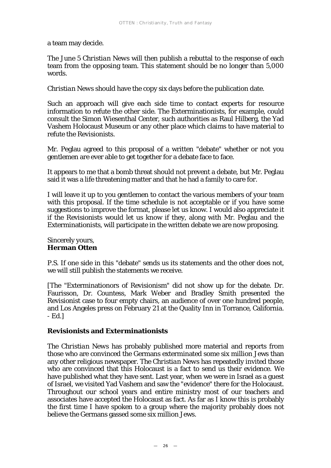a team may decide.

The June 5 *Christian News* will then publish a rebuttal to the response of each team from the opposing team. This statement should be no longer than 5,000 words.

*Christian News* should have the copy six days before the publication date.

Such an approach will give each side time to contact experts for resource information to refute the other side. The Exterminationists, for example, could consult the Simon Wiesenthal Center, such authorities as Raul Hilberg, the Yad Vashem Holocaust Museum or any other place which claims to have material to refute the Revisionists.

Mr. Peglau agreed to this proposal of a written "debate" whether or not you gentlemen are ever able to get together for a debate face to face.

It appears to me that a bomb threat should not prevent a debate, but Mr. Peglau said it was a life threatening matter and that he had a family to care for.

I will leave it up to you gentlemen to contact the various members of your team with this proposal. If the time schedule is not acceptable or if you have some suggestions to improve the format, please let us know. I would also appreciate it if the Revisionists would let us know if they, along with Mr. Peglau and the Exterminationists, will participate in the written debate we are now proposing.

#### Sincerely yours, **Herman Otten**

P.S. If one side in this "debate" sends us its statements and the other does not, we will still publish the statements we receive.

[The "Exterminationors of Revisionism" did not show up for the debate. Dr. Faurisson, Dr. Countess, Mark Weber and Bradley Smith presented the Revisionist case to four empty chairs, an audience of over one hundred people, and Los Angeles press on February 21 at the Quality Inn in Torrance, California.  $-Ed.1$ 

#### **Revisionists and Exterminationists**

*The Christian News* has probably published more material and reports from those who are convinced the Germans exterminated some six million Jews than any other religious newspaper. *The Christian News* has repeatedly invited those who are convinced that this Holocaust is a fact to send us their evidence. We have published what they have sent. Last year, when we were in Israel as a guest of Israel, we visited Yad Vashem and saw the "evidence" there for the Holocaust. Throughout our school years and entire ministry most of our teachers and associates have accepted the Holocaust as fact. As far as I know this is probably the first time I have spoken to a group where the majority probably does not believe the Germans gassed some six million Jews.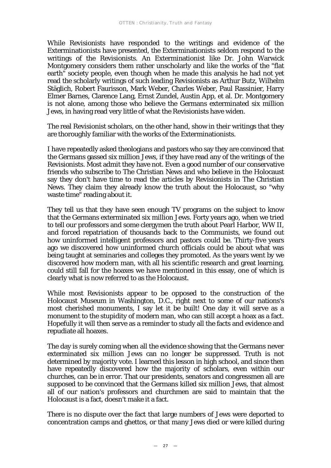While Revisionists have responded to the writings and evidence of the Exterminationists have presented, the Exterminationists seldom respond to the writings of the Revisionists. An Exterminationist like Dr. John Warwick Montgomery considers them rather unscholarly and like the works of the "flat earth" society people, even though when he made this analysis he had not yet read the scholarly writings of such leading Revisionists as Arthur Butz, Wilhelm Stäglich, Robert Faurisson, Mark Weber, Charles Weber, Paul Rassinier, Harry Elmer Barnes, Clarence Lang, Ernst Zundel, Austin App, et al. Dr. Montgomery is not alone, among those who believe the Germans exterminated six million Jews, in having read very little of what the Revisionists have widen.

The real Revisionist scholars, on the other hand, show in their writings that they are thoroughly familiar with the works of the Exterminationists.

I have repeatedly asked theologians and pastors who say they are convinced that the Germans gassed six million Jews, if they have read any of the writings of the Revisionists. Most admit they have not. Even a good number of our conservative friends who subscribe to The Christian News and who believe in the Holocaust say they don't have time to read the articles by Revisionists in The Christian News. They claim they already know the truth about the Holocaust, so "why waste time" reading about it.

They tell us that they have seen enough TV programs on the subject to know that the Germans exterminated six million Jews. Forty years ago, when we tried to tell our professors and some clergymen the truth about Pearl Harbor, WW II, and forced repatriation of thousands back to the Communists, we found out how uninformed intelligent professors and pastors could be. Thirty-five years ago we discovered how uninformed church officials could be about what was being taught at seminaries and colleges they promoted. As the years went by we discovered how modern man, with all his scientific research and great learning, could still fall for the hoaxes we have mentioned in this essay, one of which is clearly what is now referred to as the Holocaust.

While most Revisionists appear to be opposed to the construction of the Holocaust Museum in Washington, D.C., right next to some of our nations's most cherished monuments, I say let it be built! One day it will serve as a monument to the stupidity of modern man, who can still accept a hoax as a fact. Hopefully it will then serve as a reminder to study all the facts and evidence and repudiate all hoaxes.

The day is surely coming when all the evidence showing that the Germans never exterminated six million Jews can no longer be suppressed. Truth is not determined by majority vote. I learned this lesson in high school, and since then have repeatedly discovered how the majority of scholars, even within our churches, can be in error. That our presidents, senators and congressmen all are supposed to be convinced that the Germans killed six million Jews, that almost all of our nation's professors and churchmen are said to maintain that the Holocaust is a fact, doesn't make it a fact.

There is no dispute over the fact that large numbers of Jews were deported to concentration camps and ghettos, or that many Jews died or were killed during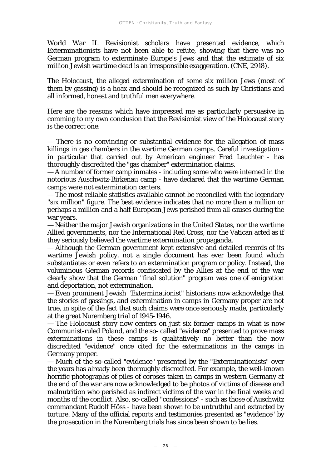World War II. Revisionist scholars have presented evidence, which Exterminationists have not been able to refute, showing that there was no German program to exterminate Europe's Jews and that the estimate of six million Jewish wartime dead is an irresponsible exaggeration. (CNE, 2918).

The Holocaust, the alleged extermination of some six million Jews (most of them by gassing) is a hoax and should be recognized as such by Christians and all informed, honest and truthful men everywhere.

Here are the reasons which have impressed me as particularly persuasive in comming to my own conclusion that the Revisionist view of the Holocaust story is the correct one:

— There is no convincing or substantial evidence for the allegation of mass killings in gas chambers in the wartime German camps. Careful investigation in particular that carried out by American engineer Fred Leuchter - has thoroughly discredited the "gas chamber" extermination claims.

— A number of former camp inmates - including some who were interned in the notorious Auschwitz-Birkenau camp - have declared that the wartime German camps were not extermination centers.

— The most reliable statistics available cannot be reconciled with the legendary "six million" figure. The best evidence indicates that no more than a million or perhaps a million and a half European Jews perished from all causes during the war years.

— Neither the major Jewish organizations in the United States, nor the wartime Allied governments, nor the International Red Cross, nor the Vatican acted as if they seriously believed the wartime extermination propaganda.

— Although the German government kept extensive and detailed records of its wartime Jewish policy, not a single document has ever been found which substantiates or even refers to an extermination program or policy. Instead, the voluminous German records confiscated by the Allies at the end of the war clearly show that the German "final solution" program was one of emigration and deportation, not extermination.

— Even prominent Jewish "Exterminationist" historians now acknowledge that the stories of gassings, and extermination in camps in Germany proper are not true, in spite of the fact that such claims were once seriously made, particularly at the great Nuremberg trial of 1945-1946.

— The Holocaust story now centers on just six former camps in what is now Communist-ruled Poland, and the so- called "evidence" presented to prove mass exterminations in these camps is qualitatively no better than the now discredited "evidence" once cited for the exterminations in the camps in Germany proper.

— Much of the so-called "evidence" presented by the "Exterminationists" over the years has already been thoroughly discredited. For example, the well-known horrific photographs of piles of corpses taken in camps in western Germany at the end of the war are now acknowledged to be photos of victims of disease and malnutrition who perished as indirect victims of the war in the final weeks and months of the conflict. Also, so-called "confessions" - such as those of Auschwitz commandant Rudolf Höss - have been shown to be untruthful and extracted by torture. Many of the official reports and testimonies presented as "evidence" by the prosecution in the Nuremberg trials has since been shown to be lies.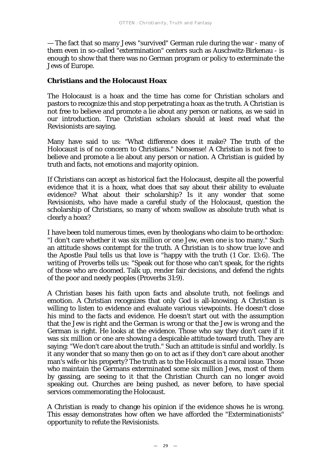— The fact that so many Jews "survived" German rule during the war - many of them even in so-called "extermination" centers such as Auschwitz-Birkenau - is enough to show that there was no German program or policy to exterminate the Jews of Europe.

#### **Christians and the Holocaust Hoax**

The Holocaust is a hoax and the time has come for Christian scholars and pastors to recognize this and stop perpetrating a hoax as the truth. A Christian is not free to believe and promote a lie about any person or nations, as we said in our introduction. True Christian scholars should at least read what the Revisionists are saying.

Many have said to us: "What difference does it make? The truth of the Holocaust is of no concern to Christians." Nonsense! A Christian is not free to believe and promote a lie about any person or nation. A Christian is guided by truth and facts, not emotions and majority opinion.

If Christians can accept as historical fact the Holocaust, despite all the powerful evidence that it is a hoax, what does that say about their ability to evaluate evidence? What about their scholarship? Is it any wonder that some Revisionists, who have made a careful study of the Holocaust, question the scholarship of Christians, so many of whom swallow as absolute truth what is clearly a hoax?

I have been told numerous times, even by theologians who claim to be orthodox: "I don't care whether it was six million or one Jew, even one is too many." Such an attitude shows contempt for the truth. A Christian is to show true love and the Apostle Paul tells us that love is "happy with the truth (1 Cor. 13:6). The writing of Proverbs tells us: "Speak out for those who can't speak, for the rights of those who are doomed. Talk up, render fair decisions, and defend the rights of the poor and needy peoples (Proverbs 31:9).

A Christian bases his faith upon facts and absolute truth, not feelings and emotion. A Christian recognizes that only God is all-knowing. A Christian is willing to listen to evidence and evaluate various viewpoints. He doesn't close his mind to the facts and evidence. He doesn't start out with the assumption that the Jew is right and the German is wrong or that the Jew is wrong and the German is right. He looks at the evidence. Those who say they don't care if it was six million or one are showing a despicable attitude toward truth. They are saying: "We don't care about the truth." Such an attitude is sinful and worldly. Is it any wonder that so many then go on to act as if they don't care about another man's wife or his property? The truth as to the Holocaust is a moral issue. Those who maintain the Germans exterminated some six million Jews, most of them by gassing, are seeing to it that the Christian Church can no longer avoid speaking out. Churches are being pushed, as never before, to have special services commemorating the Holocaust.

A Christian is ready to change his opinion if the evidence shows he is wrong. This essay demonstrates how often we have afforded the "Exterminationists" opportunity to refute the Revisionists.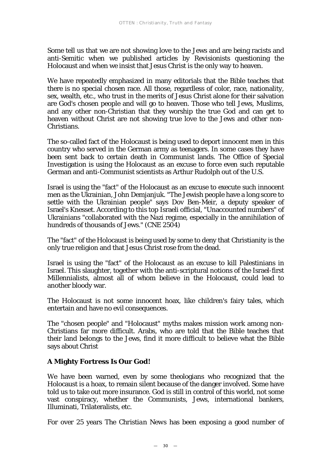Some tell us that we are not showing love to the Jews and are being racists and anti-Semitic when we published articles by Revisionists questioning the Holocaust and when we insist that Jesus Christ is the only way to heaven.

We have repeatedly emphasized in many editorials that the Bible teaches that there is no special chosen race. All those, regardless of color, race, nationality, sex, wealth, etc., who trust in the merits of Jesus Christ alone for their salvation are God's chosen people and will go to heaven. Those who tell Jews, Muslims, and any other non-Christian that they worship the true God and can get to heaven without Christ are not showing true love to the Jews and other non-Christians.

The so-called fact of the Holocaust is being used to deport innocent men in this country who served in the German army as teenagers. In some cases they have been sent back to certain death in Communist lands. The Office of Special Investigation is using the Holocaust as an excuse to force even such reputable German and anti-Communist scientists as Arthur Rudolph out of the U.S.

Israel is using the "fact" of the Holocaust as an excuse to execute such innocent men as the Ukrainian, John Demjanjuk. "The Jewish people have a long score to settle with the Ukrainian people" says Dov Ben-Meir, a deputy speaker of Israel's Knesset. According to this top Israeli official, "Unaccounted numbers" of Ukrainians "collaborated with the Nazi regime, especially in the annihilation of hundreds of thousands of Jews." (CNE 2504)

The "fact" of the Holocaust is being used by some to deny that Christianity is the only true religion and that Jesus Christ rose from the dead.

Israel is using the "fact" of the Holocaust as an excuse to kill Palestinians in Israel. This slaughter, together with the anti-scriptural notions of the Israel-first Millennialists, almost all of whom believe in the Holocaust, could lead to another bloody war.

The Holocaust is not some innocent hoax, like children's fairy tales, which entertain and have no evil consequences.

The "chosen people" and "Holocaust" myths makes mission work among non-Christians far more difficult. Arabs, who are told that the Bible teaches that their land belongs to the Jews, find it more difficult to believe what the Bible says about Christ

#### **A Mighty Fortress Is Our God!**

We have been warned, even by some theologians who recognized that the Holocaust is a hoax, to remain silent because of the danger involved. Some have told us to take out more insurance. God is still in control of this world, not some vast conspiracy, whether the Communists, Jews, international bankers, Illuminati, Trilateralists, etc.

For over 25 years *The Christian News* has been exposing a good number of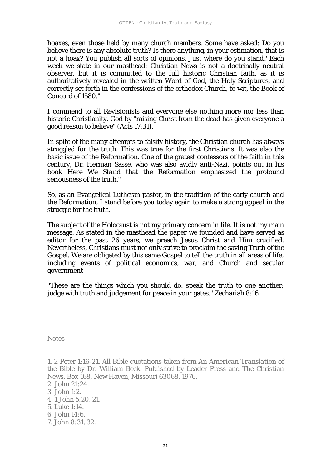hoaxes, even those held by many church members. Some have asked: Do you believe there is any absolute truth? Is there anything, in your estimation, that is not a hoax? You publish all sorts of opinions. Just where do you stand? Each week we state in our masthead: Christian News is not a doctrinally neutral observer, but it is committed to the full historic Christian faith, as it is authoritatively revealed in the written Word of God, the Holy Scriptures, and correctly set forth in the confessions of the orthodox Church, to wit, the Book of Concord of 1580."

I commend to all Revisionists and everyone else nothing more nor less than historic Christianity. God by "raising Christ from the dead has given everyone a good reason to believe" (Acts 17:31).

In spite of the many attempts to falsify history, the Christian church has always struggled for the truth. This was true for the first Christians. It was also the basic issue of the Reformation. One of the gratest confessors of the faith in this century, Dr. Herman Sasse, who was also avidly anti-Nazi, points out in his book *Here We Stand* that the Reformation emphasized the profound seriousness of the truth."

So, as an Evangelical Lutheran pastor, in the tradition of the early church and the Reformation, I stand before you today again to make a strong appeal in the struggle for the truth.

The subject of the Holocaust is not my primary concern in life. It is not my main message. As stated in the masthead the paper we founded and have served as editor for the past 26 years, we preach Jesus Christ and Him crucified. Nevertheless, Christians must not only strive to proclaim the saving Truth of the Gospel. We are obligated by this same Gospel to tell the truth in all areas of life, including events of political economics, war, and Church and secular government

"These are the things which you should do: speak the truth to one another; judge with truth and judgement for peace in your gates." Zechariah 8:16

Notes

1. 2 Peter 1:16-21. All Bible quotations taken from *An American Translation of the Bible* by Dr. William Beck. Published by Leader Press and The Christian News, Box 168, New Haven, Missouri 63068, 1976. 2. John 21:24. 3. John 1:2. 4. 1 John 5:20, 21. 5. Luke 1:14. 6. John 14:6. 7. John 8:31, 32.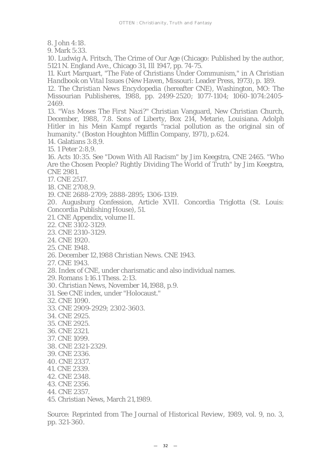8. John 4:18.

9. Mark 5:33.

10. Ludwig A. Fritsch, The Crime of Our Age (Chicago: Published by the author, 5121 N. England Ave., Chicago 31, Ill 1947, pp. 74-75.

11. Kurt Marquart, "The Fate of Christians Under Communism," in *A Christian Handbook on Vital Issues* (New Haven, Missouri: Leader Press, 1973), p. 189.

12. *The Christian News Encydopedia* (hereafter CNE), Washington, MO: The Missourian Publisheres, 1988, pp. 2499-2520; 1077-1104; 1060-1074:2405- 2469.

13. *"Was Moses The First Nazi?"* Christian Vanguard, New Christian Church, December, 1988, 7.8. Sons of Liberty, Box 214, Metarie, Louisiana. Adolph Hitler in his *Mein Kampf* regards "racial pollution as the original sin of humanity." (Boston Houghton Mifflin Company, 1971), p.624.

14. Galatians 3:8,9.

15. 1 Peter 2:8,9.

16. Acts 10:35. See "Down With All Racism" by Jim Keegstra, CNE 2465. "Who Are the Chosen People? Rightly Dividing The World of Truth" by Jim Keegstra, CNE 2981.

17. CNE 2517.

18. CNE 2708,9.

19. CNE 2688-2709; 2888-2895; 1306-1319.

20. Augusburg Confession, Article XVII. Concordia Triglotta (St. Louis: Concordia Publishing House), 51.

21. CNE Appendix, volume II.

22. CNE 3102-3129.

23. CNE 2310-3129.

24. CNE 1920.

25. CNE 1948.

26. December 12,1988 *Christian News*. CNE 1943.

27. CNE 1943.

28. Index of CNE, under charismatic and also individual names.

29. Romans 1:16.1 Thess. 2:13.

30. *Christian News*, November 14,1988, p.9.

31. See CNE index, under "Holocaust."

32. CNE 1090.

33. CNE 2909-2929; 2302-3603.

34. CNE 2925.

35. CNE 2925.

36. CNE 2321.

37. CNE 1099.

38. CNE 2321-2329.

39. CNE 2336.

40. CNE 2337.

41. CNE 2339.

42. CNE 2348.

43. CNE 2356.

44. CNE 2357.

45. Christian News, March 21,1989.

Source: Reprinted from *The Journal of Historical Review*, 1989, vol. 9, no. 3, pp. 321-360.